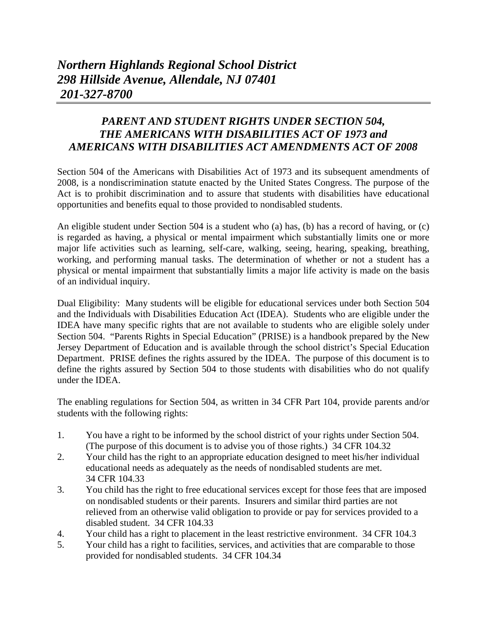## *PARENT AND STUDENT RIGHTS UNDER SECTION 504, THE AMERICANS WITH DISABILITIES ACT OF 1973 and AMERICANS WITH DISABILITIES ACT AMENDMENTS ACT OF 2008*

Section 504 of the Americans with Disabilities Act of 1973 and its subsequent amendments of 2008, is a nondiscrimination statute enacted by the United States Congress. The purpose of the Act is to prohibit discrimination and to assure that students with disabilities have educational opportunities and benefits equal to those provided to nondisabled students.

An eligible student under Section 504 is a student who (a) has, (b) has a record of having, or (c) is regarded as having, a physical or mental impairment which substantially limits one or more major life activities such as learning, self-care, walking, seeing, hearing, speaking, breathing, working, and performing manual tasks. The determination of whether or not a student has a physical or mental impairment that substantially limits a major life activity is made on the basis of an individual inquiry.

Dual Eligibility: Many students will be eligible for educational services under both Section 504 and the Individuals with Disabilities Education Act (IDEA). Students who are eligible under the IDEA have many specific rights that are not available to students who are eligible solely under Section 504. "Parents Rights in Special Education" (PRISE) is a handbook prepared by the New Jersey Department of Education and is available through the school district's Special Education Department. PRISE defines the rights assured by the IDEA. The purpose of this document is to define the rights assured by Section 504 to those students with disabilities who do not qualify under the IDEA.

The enabling regulations for Section 504, as written in 34 CFR Part 104, provide parents and/or students with the following rights:

- 1. You have a right to be informed by the school district of your rights under Section 504. (The purpose of this document is to advise you of those rights.) 34 CFR 104.32
- 2. Your child has the right to an appropriate education designed to meet his/her individual educational needs as adequately as the needs of nondisabled students are met. 34 CFR 104.33
- 3. You child has the right to free educational services except for those fees that are imposed on nondisabled students or their parents. Insurers and similar third parties are not relieved from an otherwise valid obligation to provide or pay for services provided to a disabled student. 34 CFR 104.33
- 4. Your child has a right to placement in the least restrictive environment. 34 CFR 104.3
- 5. Your child has a right to facilities, services, and activities that are comparable to those provided for nondisabled students. 34 CFR 104.34